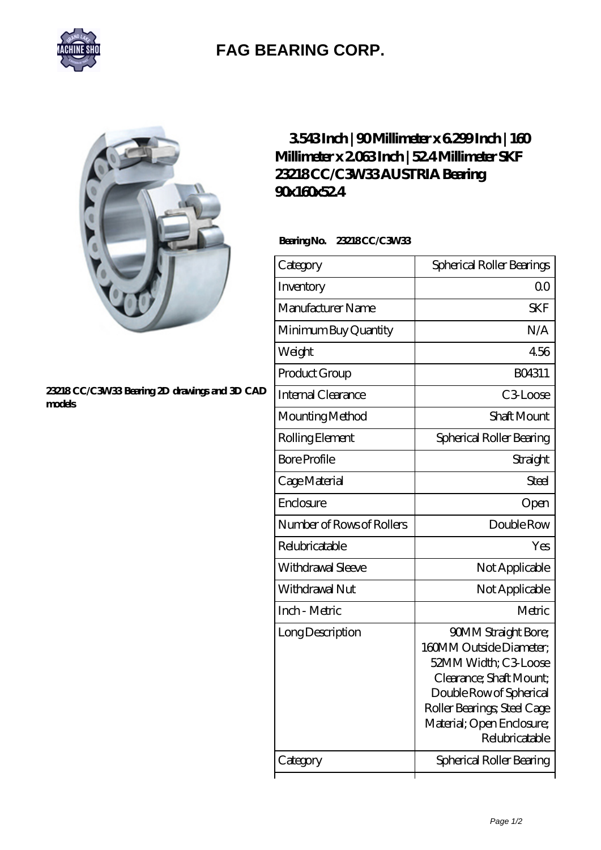

## **[FAG BEARING CORP.](https://m.mymed.cc)**

## **[23218 CC/C3W33 Bearing 2D drawings and 3D CAD](https://m.mymed.cc/pic-219950.html) [models](https://m.mymed.cc/pic-219950.html)**

## **[3.543 Inch | 90 Millimeter x 6.299 Inch | 160](https://m.mymed.cc/ai-219950-skf-23218-cc-c3w33-austria-bearing-90x160x52-4.html) [Millimeter x 2.063 Inch | 52.4 Millimeter SKF](https://m.mymed.cc/ai-219950-skf-23218-cc-c3w33-austria-bearing-90x160x52-4.html) [23218 CC/C3W33 AUSTRIA Bearing](https://m.mymed.cc/ai-219950-skf-23218-cc-c3w33-austria-bearing-90x160x52-4.html) [90x160x52.4](https://m.mymed.cc/ai-219950-skf-23218-cc-c3w33-austria-bearing-90x160x52-4.html)**

 **Bearing No. 23218 CC/C3W33**

| Category                  | Spherical Roller Bearings                                                                                                                                                                                         |
|---------------------------|-------------------------------------------------------------------------------------------------------------------------------------------------------------------------------------------------------------------|
| Inventory                 | 0 <sub>0</sub>                                                                                                                                                                                                    |
| Manufacturer Name         | <b>SKF</b>                                                                                                                                                                                                        |
| Minimum Buy Quantity      | N/A                                                                                                                                                                                                               |
| Weight                    | 4.56                                                                                                                                                                                                              |
| Product Group             | BO4311                                                                                                                                                                                                            |
| Internal Clearance        | C <sub>3</sub> Loose                                                                                                                                                                                              |
| Mounting Method           | <b>Shaft Mount</b>                                                                                                                                                                                                |
| Rolling Element           | Spherical Roller Bearing                                                                                                                                                                                          |
| <b>Bore Profile</b>       | Straight                                                                                                                                                                                                          |
| Cage Material             | Steel                                                                                                                                                                                                             |
| Enclosure                 | Open                                                                                                                                                                                                              |
| Number of Rows of Rollers | Double Row                                                                                                                                                                                                        |
| Relubricatable            | Yes                                                                                                                                                                                                               |
| Withdrawal Sleeve         | Not Applicable                                                                                                                                                                                                    |
| Withdrawal Nut            | Not Applicable                                                                                                                                                                                                    |
| Inch - Metric             | Metric                                                                                                                                                                                                            |
| Long Description          | <b>90MM Straight Bore;</b><br>160MM Outside Diameter:<br>52MM Width; C3 Loose<br>Clearance; Shaft Mount;<br>Double Row of Spherical<br>Roller Bearings; Steel Cage<br>Material; Open Enclosure;<br>Relubricatable |
| Category                  | Spherical Roller Bearing                                                                                                                                                                                          |